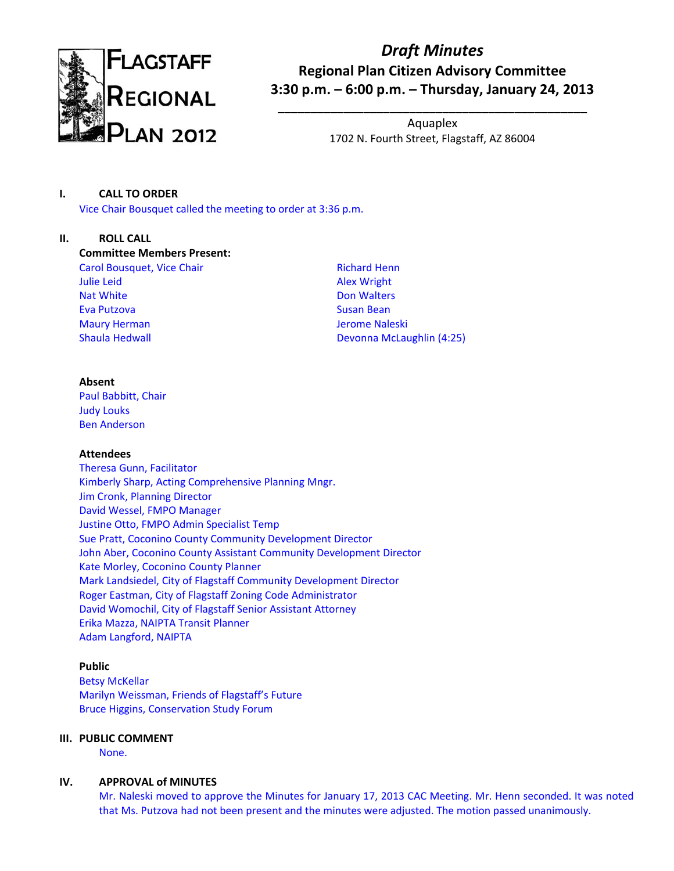

# *Draft Minutes* **Regional Plan Citizen Advisory Committee 3:30 p.m. – 6:00 p.m. – Thursday, January 24, 2013**

Aquaplex 1702 N. Fourth Street, Flagstaff, AZ 86004

**\_\_\_\_\_\_\_\_\_\_\_\_\_\_\_\_\_\_\_\_\_\_\_\_\_\_\_\_\_\_\_\_\_\_\_\_\_\_\_\_\_\_\_\_\_\_\_**

# **I. CALL TO ORDER**

Vice Chair Bousquet called the meeting to order at 3:36 p.m.

### **II. ROLL CALL**

**Committee Members Present:** Carol Bousquet, Vice Chair

Julie Leid Nat White Eva Putzova Maury Herman Shaula Hedwall

Richard Henn Alex Wright Don Walters Susan Bean Jerome Naleski Devonna McLaughlin (4:25)

### **Absent**

Paul Babbitt, Chair Judy Louks Ben Anderson

# **Attendees**

Theresa Gunn, Facilitator Kimberly Sharp, Acting Comprehensive Planning Mngr. Jim Cronk, Planning Director David Wessel, FMPO Manager Justine Otto, FMPO Admin Specialist Temp Sue Pratt, Coconino County Community Development Director John Aber, Coconino County Assistant Community Development Director Kate Morley, Coconino County Planner Mark Landsiedel, City of Flagstaff Community Development Director Roger Eastman, City of Flagstaff Zoning Code Administrator David Womochil, City of Flagstaff Senior Assistant Attorney Erika Mazza, NAIPTA Transit Planner Adam Langford, NAIPTA

# **Public**

Betsy McKellar Marilyn Weissman, Friends of Flagstaff's Future Bruce Higgins, Conservation Study Forum

# **III. PUBLIC COMMENT**

None.

# **IV. APPROVAL of MINUTES**

Mr. Naleski moved to approve the Minutes for January 17, 2013 CAC Meeting. Mr. Henn seconded. It was noted that Ms. Putzova had not been present and the minutes were adjusted. The motion passed unanimously.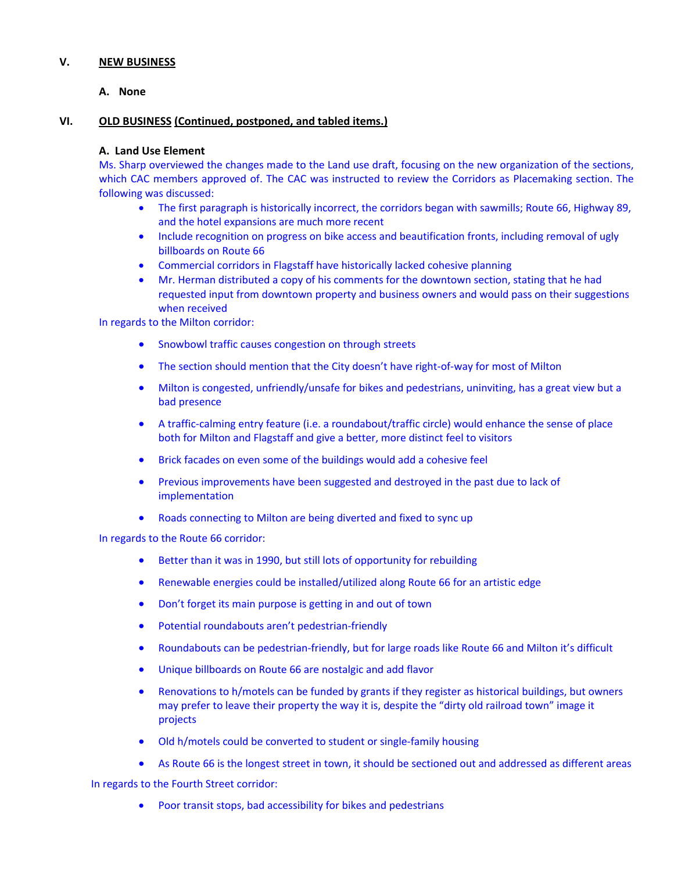### **V. NEW BUSINESS**

**A. None**

## **VI. OLD BUSINESS (Continued, postponed, and tabled items.)**

### **A. Land Use Element**

Ms. Sharp overviewed the changes made to the Land use draft, focusing on the new organization of the sections, which CAC members approved of. The CAC was instructed to review the Corridors as Placemaking section. The following was discussed:

- The first paragraph is historically incorrect, the corridors began with sawmills; Route 66, Highway 89, and the hotel expansions are much more recent
- Include recognition on progress on bike access and beautification fronts, including removal of ugly billboards on Route 66
- Commercial corridors in Flagstaff have historically lacked cohesive planning
- Mr. Herman distributed a copy of his comments for the downtown section, stating that he had requested input from downtown property and business owners and would pass on their suggestions when received

In regards to the Milton corridor:

- **•** Snowbowl traffic causes congestion on through streets
- The section should mention that the City doesn't have right-of-way for most of Milton
- Milton is congested, unfriendly/unsafe for bikes and pedestrians, uninviting, has a great view but a bad presence
- A traffic-calming entry feature (i.e. a roundabout/traffic circle) would enhance the sense of place both for Milton and Flagstaff and give a better, more distinct feel to visitors
- Brick facades on even some of the buildings would add a cohesive feel
- **•** Previous improvements have been suggested and destroyed in the past due to lack of implementation
- Roads connecting to Milton are being diverted and fixed to sync up

In regards to the Route 66 corridor:

- Better than it was in 1990, but still lots of opportunity for rebuilding
- Renewable energies could be installed/utilized along Route 66 for an artistic edge
- Don't forget its main purpose is getting in and out of town
- Potential roundabouts aren't pedestrian-friendly
- Roundabouts can be pedestrian-friendly, but for large roads like Route 66 and Milton it's difficult
- Unique billboards on Route 66 are nostalgic and add flavor
- Renovations to h/motels can be funded by grants if they register as historical buildings, but owners may prefer to leave their property the way it is, despite the "dirty old railroad town" image it projects
- Old h/motels could be converted to student or single-family housing
- As Route 66 is the longest street in town, it should be sectioned out and addressed as different areas

In regards to the Fourth Street corridor:

Poor transit stops, bad accessibility for bikes and pedestrians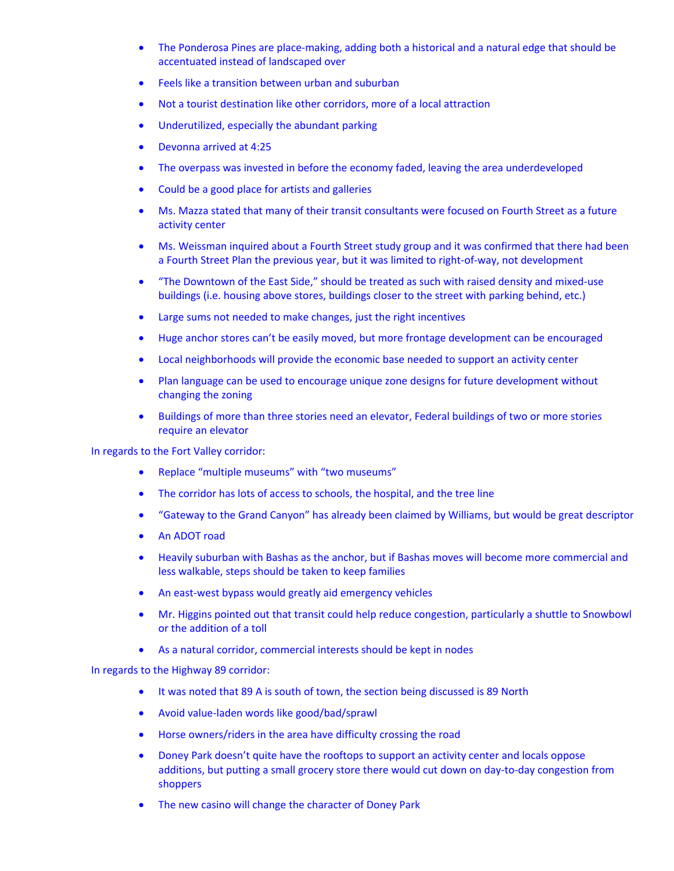- The Ponderosa Pines are place-making, adding both a historical and a natural edge that should be accentuated instead of landscaped over
- Feels like a transition between urban and suburban
- Not a tourist destination like other corridors, more of a local attraction
- Underutilized, especially the abundant parking
- Devonna arrived at 4:25
- The overpass was invested in before the economy faded, leaving the area underdeveloped
- Could be a good place for artists and galleries
- Ms. Mazza stated that many of their transit consultants were focused on Fourth Street as a future activity center
- Ms. Weissman inquired about a Fourth Street study group and it was confirmed that there had been a Fourth Street Plan the previous year, but it was limited to right‐of‐way, not development
- "The Downtown of the East Side," should be treated as such with raised density and mixed-use buildings (i.e. housing above stores, buildings closer to the street with parking behind, etc.)
- Large sums not needed to make changes, just the right incentives
- Huge anchor stores can't be easily moved, but more frontage development can be encouraged
- Local neighborhoods will provide the economic base needed to support an activity center
- Plan language can be used to encourage unique zone designs for future development without changing the zoning
- Buildings of more than three stories need an elevator, Federal buildings of two or more stories require an elevator

In regards to the Fort Valley corridor:

- Replace "multiple museums" with "two museums"
- The corridor has lots of access to schools, the hospital, and the tree line
- "Gateway to the Grand Canyon" has already been claimed by Williams, but would be great descriptor
- An ADOT road
- Heavily suburban with Bashas as the anchor, but if Bashas moves will become more commercial and less walkable, steps should be taken to keep families
- An east-west bypass would greatly aid emergency vehicles
- Mr. Higgins pointed out that transit could help reduce congestion, particularly a shuttle to Snowbowl or the addition of a toll
- As a natural corridor, commercial interests should be kept in nodes

In regards to the Highway 89 corridor:

- It was noted that 89 A is south of town, the section being discussed is 89 North
- Avoid value-laden words like good/bad/sprawl
- Horse owners/riders in the area have difficulty crossing the road
- Doney Park doesn't quite have the rooftops to support an activity center and locals oppose additions, but putting a small grocery store there would cut down on day-to-day congestion from shoppers
- The new casino will change the character of Doney Park